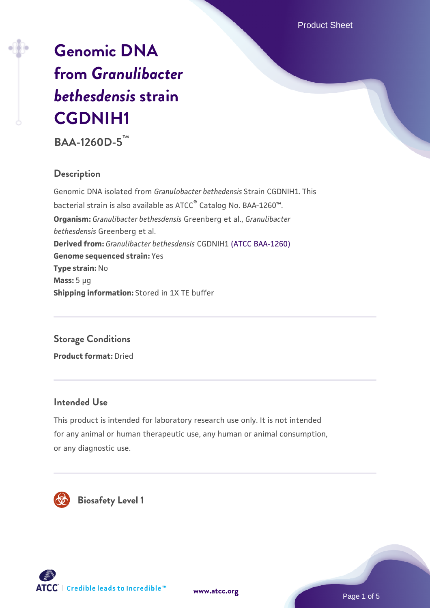Product Sheet

# **[Genomic DNA](https://www.atcc.org/products/baa-1260d-5) [from](https://www.atcc.org/products/baa-1260d-5)** *[Granulibacter](https://www.atcc.org/products/baa-1260d-5) [bethesdensis](https://www.atcc.org/products/baa-1260d-5)* **[strain](https://www.atcc.org/products/baa-1260d-5) [CGDNIH1](https://www.atcc.org/products/baa-1260d-5)**

**BAA-1260D-5™**

### **Description**

Genomic DNA isolated from *Granulobacter bethedensis* Strain CGDNIH1. This bacterial strain is also available as ATCC® Catalog No. BAA-1260™. **Organism:** *Granulibacter bethesdensis* Greenberg et al., *Granulibacter bethesdensis* Greenberg et al. **Derived from:** *Granulibacter bethesdensis* CGDNIH1 [\(ATCC BAA-1260\)](https://www.atcc.org/products/baa-1260) **Genome sequenced strain:** Yes **Type strain:** No **Mass:** 5 µg **Shipping information:** Stored in 1X TE buffer

## **Storage Conditions**

**Product format:** Dried

#### **Intended Use**

This product is intended for laboratory research use only. It is not intended for any animal or human therapeutic use, any human or animal consumption, or any diagnostic use.



 **Biosafety Level 1**



Page 1 of 5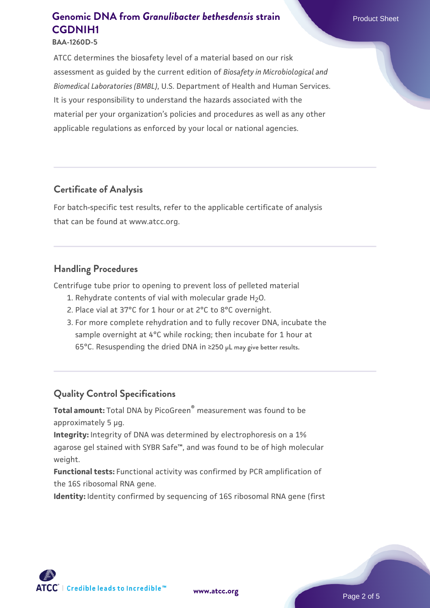ATCC determines the biosafety level of a material based on our risk assessment as guided by the current edition of *Biosafety in Microbiological and Biomedical Laboratories (BMBL)*, U.S. Department of Health and Human Services. It is your responsibility to understand the hazards associated with the material per your organization's policies and procedures as well as any other applicable regulations as enforced by your local or national agencies.

#### **Certificate of Analysis**

For batch-specific test results, refer to the applicable certificate of analysis that can be found at www.atcc.org.

#### **Handling Procedures**

Centrifuge tube prior to opening to prevent loss of pelleted material

- 1. Rehydrate contents of vial with molecular grade  $H_2O$ .
- 2. Place vial at 37°C for 1 hour or at 2°C to 8°C overnight.
- 3. For more complete rehydration and to fully recover DNA, incubate the sample overnight at 4°C while rocking; then incubate for 1 hour at 65°C. Resuspending the dried DNA in ≥250 µL may give better results.

#### **Quality Control Specifications**

**Total amount:** Total DNA by PicoGreen® measurement was found to be approximately 5 µg.

**Integrity:** Integrity of DNA was determined by electrophoresis on a 1% agarose gel stained with SYBR Safe™, and was found to be of high molecular weight.

**Functional tests:** Functional activity was confirmed by PCR amplification of the 16S ribosomal RNA gene.

**Identity:** Identity confirmed by sequencing of 16S ribosomal RNA gene (first

**[www.atcc.org](http://www.atcc.org)**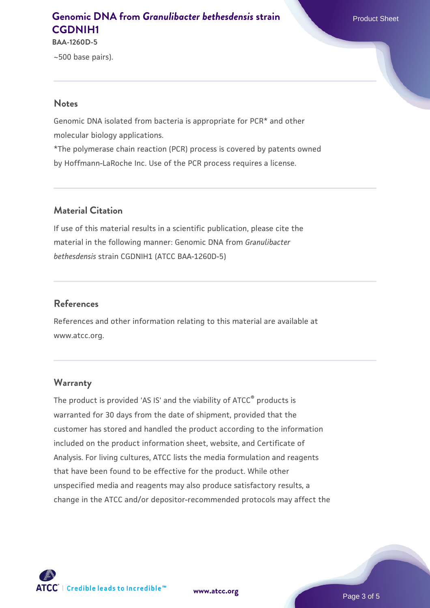**BAA-1260D-5**

~500 base pairs).

#### **Notes**

Genomic DNA isolated from bacteria is appropriate for PCR\* and other molecular biology applications.

\*The polymerase chain reaction (PCR) process is covered by patents owned by Hoffmann-LaRoche Inc. Use of the PCR process requires a license.

#### **Material Citation**

If use of this material results in a scientific publication, please cite the material in the following manner: Genomic DNA from *Granulibacter bethesdensis* strain CGDNIH1 (ATCC BAA-1260D-5)

#### **References**

References and other information relating to this material are available at www.atcc.org.

#### **Warranty**

The product is provided 'AS IS' and the viability of ATCC® products is warranted for 30 days from the date of shipment, provided that the customer has stored and handled the product according to the information included on the product information sheet, website, and Certificate of Analysis. For living cultures, ATCC lists the media formulation and reagents that have been found to be effective for the product. While other unspecified media and reagents may also produce satisfactory results, a change in the ATCC and/or depositor-recommended protocols may affect the



**[www.atcc.org](http://www.atcc.org)**

Page 3 of 5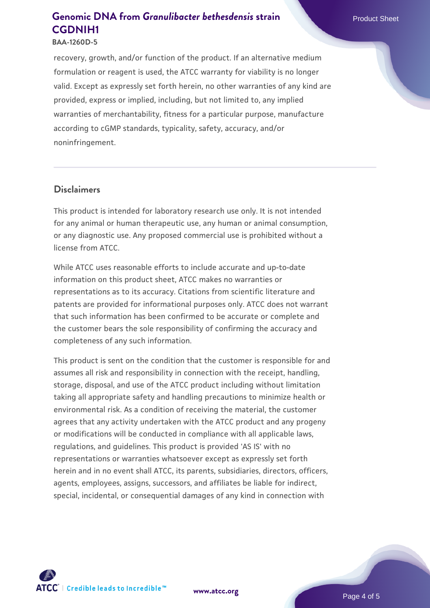#### **BAA-1260D-5**

recovery, growth, and/or function of the product. If an alternative medium formulation or reagent is used, the ATCC warranty for viability is no longer valid. Except as expressly set forth herein, no other warranties of any kind are provided, express or implied, including, but not limited to, any implied warranties of merchantability, fitness for a particular purpose, manufacture according to cGMP standards, typicality, safety, accuracy, and/or noninfringement.

#### **Disclaimers**

This product is intended for laboratory research use only. It is not intended for any animal or human therapeutic use, any human or animal consumption, or any diagnostic use. Any proposed commercial use is prohibited without a license from ATCC.

While ATCC uses reasonable efforts to include accurate and up-to-date information on this product sheet, ATCC makes no warranties or representations as to its accuracy. Citations from scientific literature and patents are provided for informational purposes only. ATCC does not warrant that such information has been confirmed to be accurate or complete and the customer bears the sole responsibility of confirming the accuracy and completeness of any such information.

This product is sent on the condition that the customer is responsible for and assumes all risk and responsibility in connection with the receipt, handling, storage, disposal, and use of the ATCC product including without limitation taking all appropriate safety and handling precautions to minimize health or environmental risk. As a condition of receiving the material, the customer agrees that any activity undertaken with the ATCC product and any progeny or modifications will be conducted in compliance with all applicable laws, regulations, and guidelines. This product is provided 'AS IS' with no representations or warranties whatsoever except as expressly set forth herein and in no event shall ATCC, its parents, subsidiaries, directors, officers, agents, employees, assigns, successors, and affiliates be liable for indirect, special, incidental, or consequential damages of any kind in connection with